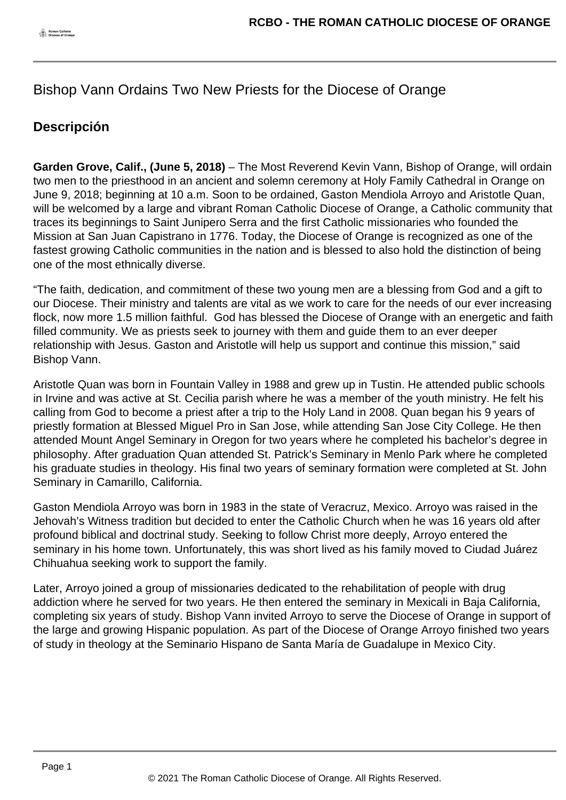## Bishop Vann Ordains Two New Priests for the Diocese of Orange

## **Descripción**

**Garden Grove, Calif., (June 5, 2018)** – The Most Reverend Kevin Vann, Bishop of Orange, will ordain two men to the priesthood in an ancient and solemn ceremony at Holy Family Cathedral in Orange on June 9, 2018; beginning at 10 a.m. Soon to be ordained, Gaston Mendiola Arroyo and Aristotle Quan, will be welcomed by a large and vibrant Roman Catholic Diocese of Orange, a Catholic community that traces its beginnings to Saint Junipero Serra and the first Catholic missionaries who founded the Mission at San Juan Capistrano in 1776. Today, the Diocese of Orange is recognized as one of the fastest growing Catholic communities in the nation and is blessed to also hold the distinction of being one of the most ethnically diverse.

"The faith, dedication, and commitment of these two young men are a blessing from God and a gift to our Diocese. Their ministry and talents are vital as we work to care for the needs of our ever increasing flock, now more 1.5 million faithful. God has blessed the Diocese of Orange with an energetic and faith filled community. We as priests seek to journey with them and guide them to an ever deeper relationship with Jesus. Gaston and Aristotle will help us support and continue this mission," said Bishop Vann.

Aristotle Quan was born in Fountain Valley in 1988 and grew up in Tustin. He attended public schools in Irvine and was active at St. Cecilia parish where he was a member of the youth ministry. He felt his calling from God to become a priest after a trip to the Holy Land in 2008. Quan began his 9 years of priestly formation at Blessed Miguel Pro in San Jose, while attending San Jose City College. He then attended Mount Angel Seminary in Oregon for two years where he completed his bachelor's degree in philosophy. After graduation Quan attended St. Patrick's Seminary in Menlo Park where he completed his graduate studies in theology. His final two years of seminary formation were completed at St. John Seminary in Camarillo, California.

Gaston Mendiola Arroyo was born in 1983 in the state of Veracruz, Mexico. Arroyo was raised in the Jehovah's Witness tradition but decided to enter the Catholic Church when he was 16 years old after profound biblical and doctrinal study. Seeking to follow Christ more deeply, Arroyo entered the seminary in his home town. Unfortunately, this was short lived as his family moved to Ciudad Juárez Chihuahua seeking work to support the family.

Later, Arroyo joined a group of missionaries dedicated to the rehabilitation of people with drug addiction where he served for two years. He then entered the seminary in Mexicali in Baja California, completing six years of study. Bishop Vann invited Arroyo to serve the Diocese of Orange in support of the large and growing Hispanic population. As part of the Diocese of Orange Arroyo finished two years of study in theology at the Seminario Hispano de Santa María de Guadalupe in Mexico City.